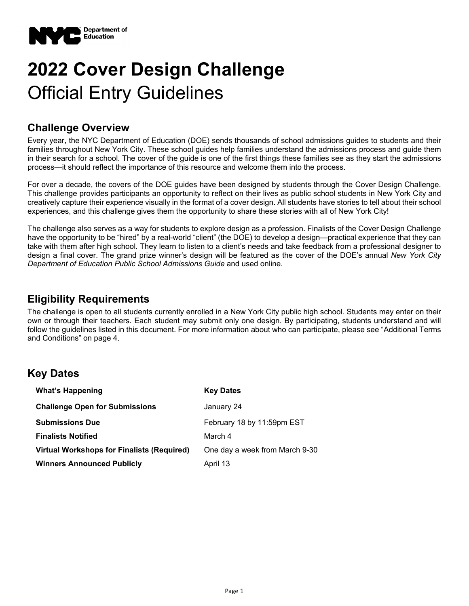

# **2022 Cover Design Challenge**  Official Entry Guidelines

## **Challenge Overview**

Every year, the NYC Department of Education (DOE) sends thousands of school admissions guides to students and their families throughout New York City. These school guides help families understand the admissions process and guide them in their search for a school. The cover of the guide is one of the first things these families see as they start the admissions process—it should reflect the importance of this resource and welcome them into the process.

For over a decade, the covers of the DOE guides have been designed by students through the Cover Design Challenge. This challenge provides participants an opportunity to reflect on their lives as public school students in New York City and creatively capture their experience visually in the format of a cover design. All students have stories to tell about their school experiences, and this challenge gives them the opportunity to share these stories with all of New York City!

The challenge also serves as a way for students to explore design as a profession. Finalists of the Cover Design Challenge have the opportunity to be "hired" by a real-world "client" (the DOE) to develop a design—practical experience that they can take with them after high school. They learn to listen to a client's needs and take feedback from a professional designer to design a final cover. The grand prize winner's design will be featured as the cover of the DOE's annual *New York City Department of Education Public School Admissions Guide* and used online.

## **Eligibility Requirements**

The challenge is open to all students currently enrolled in a New York City public high school. Students may enter on their own or through their teachers. Each student may submit only one design. By participating, students understand and will follow the guidelines listed in this document. For more information about who can participate, please see "Additional Terms and Conditions" on page 4.

## **Key Dates**

| <b>What's Happening</b>                           | <b>Key Dates</b>               |
|---------------------------------------------------|--------------------------------|
| <b>Challenge Open for Submissions</b>             | January 24                     |
| <b>Submissions Due</b>                            | February 18 by 11:59pm EST     |
| <b>Finalists Notified</b>                         | March 4                        |
| <b>Virtual Workshops for Finalists (Required)</b> | One day a week from March 9-30 |
| <b>Winners Announced Publicly</b>                 |                                |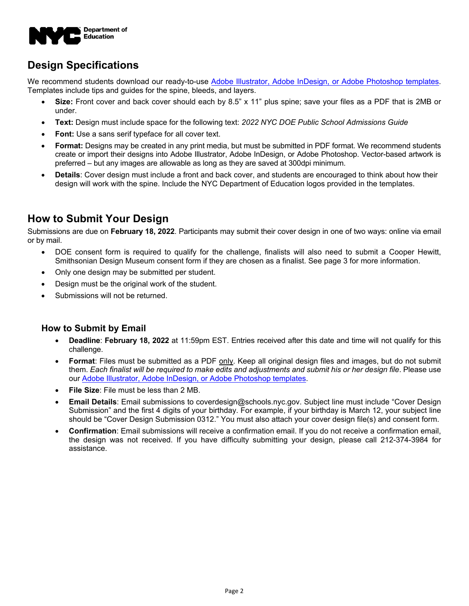

## **Design Specifications**

We recommend students download our ready-to-use [Adobe Illustrator, Adobe InDesign,](https://nycdoe.sharepoint.com/:f:/s/CoverDesign/EvkhqqZ5MqFHpHcv-_-xomMBAzIz0D6Zykg1B6znBR-Dww?e=HgmRDi) or Adobe Photoshop templates. Templates include tips and guides for the spine, bleeds, and layers.

- **Size:** Front cover and back cover should each by 8.5" x 11" plus spine; save your files as a PDF that is 2MB or under.
- **Text:** Design must include space for the following text: *2022 NYC DOE Public School Admissions Guide*
- **Font:** Use a sans serif typeface for all cover text.
- **Format:** Designs may be created in any print media, but must be submitted in PDF format. We recommend students create or import their designs into Adobe Illustrator, Adobe InDesign, or Adobe Photoshop. Vector-based artwork is preferred – but any images are allowable as long as they are saved at 300dpi minimum.
- **Details**: Cover design must include a front and back cover, and students are encouraged to think about how their design will work with the spine. Include the NYC Department of Education logos provided in the templates.

## **How to Submit Your Design**

Submissions are due on **February 18, 2022**. Participants may submit their cover design in one of two ways: online via email or by mail.

- DOE consent form is required to qualify for the challenge, finalists will also need to submit a Cooper Hewitt, Smithsonian Design Museum consent form if they are chosen as a finalist. See page 3 for more information.
- Only one design may be submitted per student.
- Design must be the original work of the student.
- Submissions will not be returned.

#### **How to Submit by Email**

- **Deadline**: **February 18, 2022** at 11:59pm EST. Entries received after this date and time will not qualify for this challenge.
- **Format**: Files must be submitted as a PDF only. Keep all original design files and images, but do not submit them. *Each finalist will be required to make edits and adjustments and submit his or her design file*. Please use our [Adobe Illustrator, Adobe InDesign, or Adobe Photoshop templates.](https://nycdoe.sharepoint.com/:f:/s/CoverDesign/EvkhqqZ5MqFHpHcv-_-xomMBAzIz0D6Zykg1B6znBR-Dww?e=HgmRDi)
- **File Size**: File must be less than 2 MB.
- **Email Details**: Email submissions to coverdesign@schools.nyc.gov. Subject line must include "Cover Design Submission" and the first 4 digits of your birthday. For example, if your birthday is March 12, your subject line should be "Cover Design Submission 0312." You must also attach your cover design file(s) and consent form.
- **Confirmation**: Email submissions will receive a confirmation email. If you do not receive a confirmation email, the design was not received. If you have difficulty submitting your design, please call 212-374-3984 for assistance.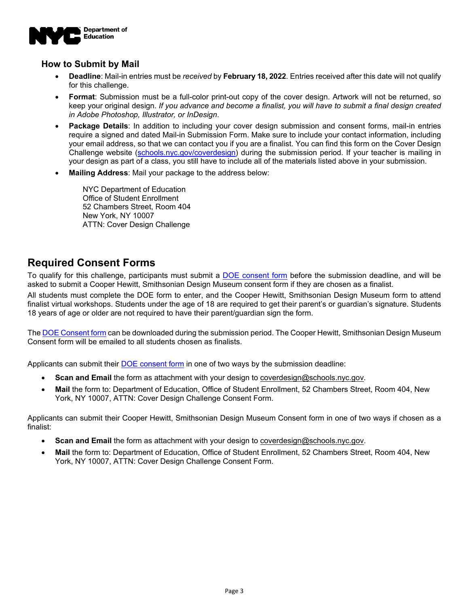

#### **How to Submit by Mail**

- **Deadline**: Mail-in entries must be *received* by **February 18, 2022**. Entries received after this date will not qualify for this challenge.
- **Format**: Submission must be a full-color print-out copy of the cover design. Artwork will not be returned, so keep your original design. *If you advance and become a finalist, you will have to submit a final design created in Adobe Photoshop, Illustrator, or InDesign*.
- **Package Details**: In addition to including your cover design submission and consent forms, mail-in entries require a signed and dated Mail-in Submission Form. Make sure to include your contact information, including your email address, so that we can contact you if you are a finalist. You can find this form on the Cover Design Challenge website [\(schools.nyc.gov/coverdesign\)](http://schools.nyc.gov/CoverDesign/) during the submission period. If your teacher is mailing in your design as part of a class, you still have to include all of the materials listed above in your submission.
- **Mailing Address**: Mail your package to the address below:

NYC Department of Education Office of Student Enrollment 52 Chambers Street, Room 404 New York, NY 10007 ATTN: Cover Design Challenge

## **Required Consent Forms**

To qualify for this challenge, participants must submit a [DOE consent form](https://nycdoe.sharepoint.com/:f:/s/CoverDesign/El3LWRuWKDJEuq0r58Zep0QBVwxIPtHlB5sGj7gAVcy5YA?e=FAdcn9) before the submission deadline, and will be asked to submit a Cooper Hewitt, Smithsonian Design Museum consent form if they are chosen as a finalist.

All students must complete the DOE form to enter, and the Cooper Hewitt, Smithsonian Design Museum form to attend finalist virtual workshops. Students under the age of 18 are required to get their parent's or guardian's signature. Students 18 years of age or older are not required to have their parent/guardian sign the form.

Th[e DOE Consent form](https://nycdoe.sharepoint.com/:f:/s/CoverDesign/El3LWRuWKDJEuq0r58Zep0QBVwxIPtHlB5sGj7gAVcy5YA?e=FAdcn9) can be downloaded during the submission period. The Cooper Hewitt, Smithsonian Design Museum Consent form will be emailed to all students chosen as finalists.

Applicants can submit their [DOE consent form](https://nycdoe.sharepoint.com/:f:/s/CoverDesign/El3LWRuWKDJEuq0r58Zep0QBVwxIPtHlB5sGj7gAVcy5YA?e=FAdcn9) in one of two ways by the submission deadline:

- Scan and Email the form as attachment with your design to coverdesign@schools.nyc.gov.
- **Mail** the form to: Department of Education, Office of Student Enrollment, 52 Chambers Street, Room 404, New York, NY 10007, ATTN: Cover Design Challenge Consent Form.

Applicants can submit their Cooper Hewitt, Smithsonian Design Museum Consent form in one of two ways if chosen as a finalist:

- Scan and Email the form as attachment with your design to coverdesign@schools.nyc.gov.
- **Mail** the form to: Department of Education, Office of Student Enrollment, 52 Chambers Street, Room 404, New York, NY 10007, ATTN: Cover Design Challenge Consent Form.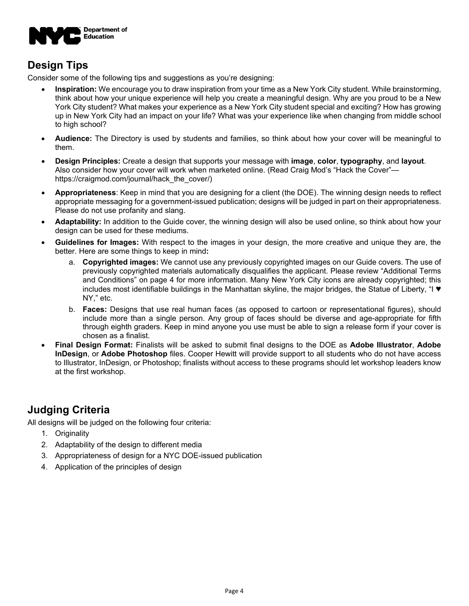

# **Design Tips**

Consider some of the following tips and suggestions as you're designing:

- **Inspiration:** We encourage you to draw inspiration from your time as a New York City student. While brainstorming, think about how your unique experience will help you create a meaningful design. Why are you proud to be a New York City student? What makes your experience as a New York City student special and exciting? How has growing up in New York City had an impact on your life? What was your experience like when changing from middle school to high school?
- **Audience:** The Directory is used by students and families, so think about how your cover will be meaningful to them.
- **Design Principles:** Create a design that supports your message with **image**, **color**, **typography**, and **layout**. Also consider how your cover will work when marketed online. (Read Craig Mod's "Hack the Cover" https://craigmod.com/journal/hack\_the\_cover/)
- **Appropriateness**: Keep in mind that you are designing for a client (the DOE). The winning design needs to reflect appropriate messaging for a government-issued publication; designs will be judged in part on their appropriateness. Please do not use profanity and slang.
- **Adaptability:** In addition to the Guide cover, the winning design will also be used online, so think about how your design can be used for these mediums.
- **Guidelines for Images:** With respect to the images in your design, the more creative and unique they are, the better. Here are some things to keep in mind**:** 
	- a. **Copyrighted images:** We cannot use any previously copyrighted images on our Guide covers. The use of previously copyrighted materials automatically disqualifies the applicant. Please review "Additional Terms and Conditions" on page 4 for more information. Many New York City icons are already copyrighted; this includes most identifiable buildings in the Manhattan skyline, the major bridges, the Statue of Liberty, "I ♥ NY," etc.
	- b. **Faces:** Designs that use real human faces (as opposed to cartoon or representational figures), should include more than a single person. Any group of faces should be diverse and age-appropriate for fifth through eighth graders. Keep in mind anyone you use must be able to sign a release form if your cover is chosen as a finalist.
- **Final Design Format:** Finalists will be asked to submit final designs to the DOE as **Adobe Illustrator**, **Adobe InDesign**, or **Adobe Photoshop** files. Cooper Hewitt will provide support to all students who do not have access to Illustrator, InDesign, or Photoshop; finalists without access to these programs should let workshop leaders know at the first workshop.

## **Judging Criteria**

All designs will be judged on the following four criteria:

- 1. Originality
- 2. Adaptability of the design to different media
- 3. Appropriateness of design for a NYC DOE-issued publication
- 4. Application of the principles of design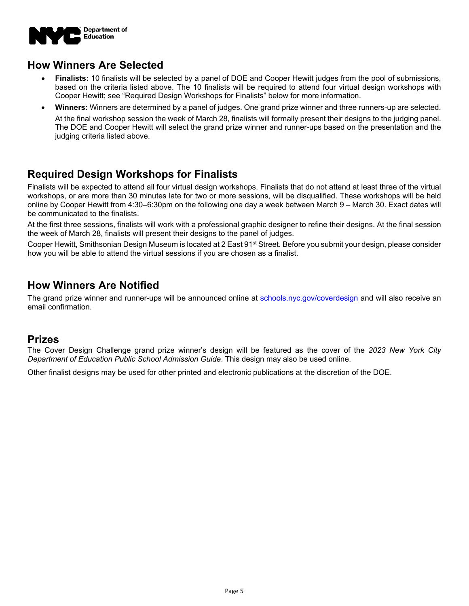

#### **How Winners Are Selected**

- **Finalists:** 10 finalists will be selected by a panel of DOE and Cooper Hewitt judges from the pool of submissions, based on the criteria listed above. The 10 finalists will be required to attend four virtual design workshops with Cooper Hewitt; see "Required Design Workshops for Finalists" below for more information.
- **Winners:** Winners are determined by a panel of judges. One grand prize winner and three runners-up are selected. At the final workshop session the week of March 28, finalists will formally present their designs to the judging panel. The DOE and Cooper Hewitt will select the grand prize winner and runner-ups based on the presentation and the judging criteria listed above.

## **Required Design Workshops for Finalists**

Finalists will be expected to attend all four virtual design workshops. Finalists that do not attend at least three of the virtual workshops, or are more than 30 minutes late for two or more sessions, will be disqualified. These workshops will be held online by Cooper Hewitt from 4:30–6:30pm on the following one day a week between March 9 – March 30. Exact dates will be communicated to the finalists.

At the first three sessions, finalists will work with a professional graphic designer to refine their designs. At the final session the week of March 28, finalists will present their designs to the panel of judges.

Cooper Hewitt, Smithsonian Design Museum is located at 2 East 91<sup>st</sup> Street. Before you submit your design, please consider how you will be able to attend the virtual sessions if you are chosen as a finalist.

## **How Winners Are Notified**

The grand prize winner and runner-ups will be announced online at [schools.nyc.gov/coverdesign](http://schools.nyc.gov/CoverDesign/) and will also receive an email confirmation.

#### **Prizes**

The Cover Design Challenge grand prize winner's design will be featured as the cover of the *2023 New York City Department of Education Public School Admission Guide*. This design may also be used online.

Other finalist designs may be used for other printed and electronic publications at the discretion of the DOE.